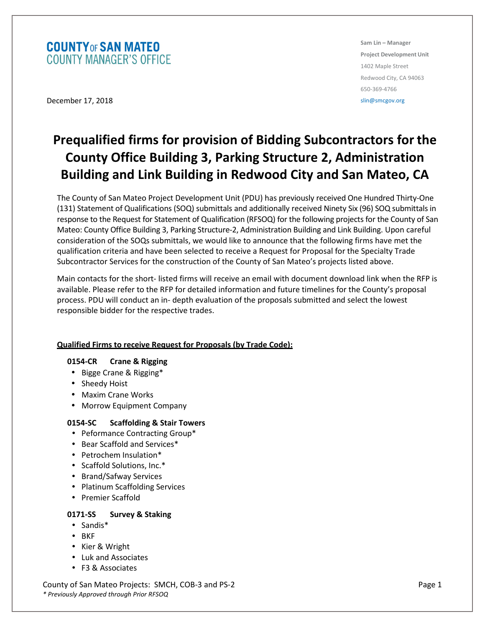# **COUNTY OF SAN MATEO COUNTY MANAGER'S OFFICE**

**Sam Lin – Manager Project Development Unit**  1402 Maple Street Redwood City, CA 94063 650-369-4766 slin@smcgov.org

December 17, 2018

# **Prequalified firms for provision of Bidding Subcontractors for the County Office Building 3, Parking Structure 2, Administration Building and Link Building in Redwood City and San Mateo, CA**

The County of San Mateo Project Development Unit (PDU) has previously received One Hundred Thirty-One (131) Statement of Qualifications (SOQ) submittals and additionally received Ninety Six (96) SOQ submittals in response to the Request for Statement of Qualification (RFSOQ) for the following projects for the County of San Mateo: County Office Building 3, Parking Structure-2, Administration Building and Link Building. Upon careful consideration of the SOQs submittals, we would like to announce that the following firms have met the qualification criteria and have been selected to receive a Request for Proposal for the Specialty Trade Subcontractor Services for the construction of the County of San Mateo's projects listed above.

Main contacts for the short- listed firms will receive an email with document download link when the RFP is available. Please refer to the RFP for detailed information and future timelines for the County's proposal process. PDU will conduct an in- depth evaluation of the proposals submitted and select the lowest responsible bidder for the respective trades.

# **Qualified Firms to receive Request for Proposals (by Trade Code):**

# **0154-CR Crane & Rigging**

- Bigge Crane & Rigging\*
- Sheedy Hoist
- Maxim Crane Works
- Morrow Equipment Company

# **0154-SC Scaffolding & Stair Towers**

- Peformance Contracting Group\*
- Bear Scaffold and Services\*
- Petrochem Insulation\*
- Scaffold Solutions, Inc.\*
- Brand/Safway Services
- Platinum Scaffolding Services
- Premier Scaffold

# **0171-SS Survey & Staking**

- Sandis\*
- BKF
- Kier & Wright
- Luk and Associates
- F3 & Associates

County of San Mateo Projects: SMCH, COB-3 and PS-2 Page 1 *\* Previously Approved through Prior RFSOQ*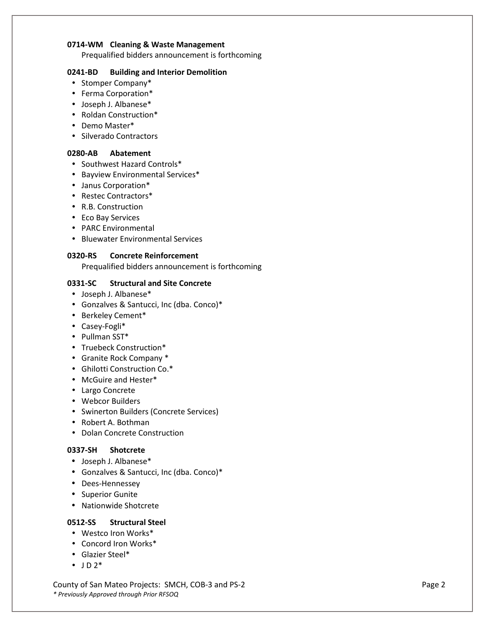#### **0714-WM Cleaning & Waste Management**

Prequalified bidders announcement is forthcoming

#### **0241-BD Building and Interior Demolition**

- Stomper Company\*
- Ferma Corporation\*
- Joseph J. Albanese\*
- Roldan Construction\*
- Demo Master\*
- Silverado Contractors

# **0280-AB Abatement**

- Southwest Hazard Controls\*
- Bayview Environmental Services\*
- Janus Corporation\*
- Restec Contractors\*
- R.B. Construction
- Eco Bay Services
- PARC Environmental
- Bluewater Environmental Services

#### **0320-RS Concrete Reinforcement**

Prequalified bidders announcement is forthcoming

# **0331-SC Structural and Site Concrete**

- Joseph J. Albanese\*
- Gonzalves & Santucci, Inc (dba. Conco)\*
- Berkeley Cement\*
- Casey-Fogli\*
- Pullman SST\*
- Truebeck Construction\*
- Granite Rock Company \*
- Ghilotti Construction Co.\*
- McGuire and Hester\*
- Largo Concrete
- Webcor Builders
- Swinerton Builders (Concrete Services)
- Robert A. Bothman
- Dolan Concrete Construction

# **0337-SH Shotcrete**

- Joseph J. Albanese\*
- Gonzalves & Santucci, Inc (dba. Conco)\*
- Dees-Hennessey
- Superior Gunite
- Nationwide Shotcrete

# **0512-SS Structural Steel**

- Westco Iron Works\*
- Concord Iron Works\*
- Glazier Steel\*
- $\bullet$  JD  $2^*$

County of San Mateo Projects: SMCH, COB-3 and PS-2 Page 2 Page 2 *\* Previously Approved through Prior RFSOQ*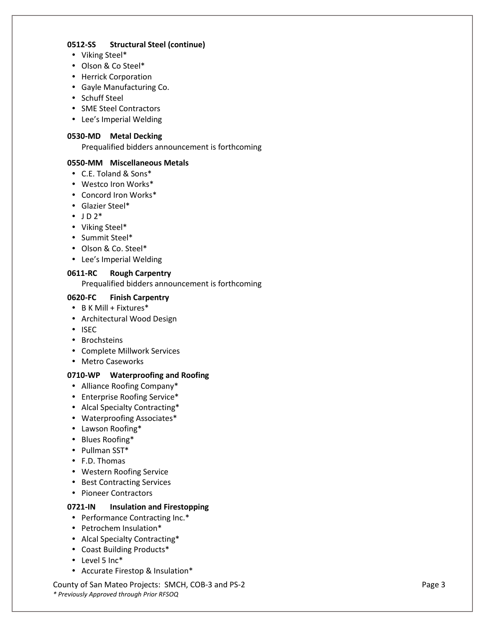#### **0512-SS Structural Steel (continue)**

- Viking Steel\*
- Olson & Co Steel\*
- Herrick Corporation
- Gayle Manufacturing Co.
- Schuff Steel
- SME Steel Contractors
- Lee's Imperial Welding

#### **0530-MD Metal Decking**

Prequalified bidders announcement is forthcoming

#### **0550-MM Miscellaneous Metals**

- C.E. Toland & Sons\*
- Westco Iron Works\*
- Concord Iron Works\*
- Glazier Steel\*
- $\bullet$  JD  $2^*$
- Viking Steel\*
- Summit Steel\*
- Olson & Co. Steel\*
- Lee's Imperial Welding

#### **0611-RC Rough Carpentry**

Prequalified bidders announcement is forthcoming

# **0620-FC Finish Carpentry**

- B K Mill + Fixtures\*
- Architectural Wood Design
- ISEC
- Brochsteins
- Complete Millwork Services
- Metro Caseworks

# **0710-WP Waterproofing and Roofing**

- Alliance Roofing Company\*
- Enterprise Roofing Service\*
- Alcal Specialty Contracting\*
- Waterproofing Associates\*
- Lawson Roofing\*
- Blues Roofing\*
- Pullman SST\*
- F.D. Thomas
- Western Roofing Service
- Best Contracting Services
- Pioneer Contractors

#### **0721-IN Insulation and Firestopping**

- Performance Contracting Inc.\*
- Petrochem Insulation\*
- Alcal Specialty Contracting\*
- Coast Building Products\*
- Level 5 Inc\*
- Accurate Firestop & Insulation\*

County of San Mateo Projects: SMCH, COB-3 and PS-2 Page 3 *\* Previously Approved through Prior RFSOQ*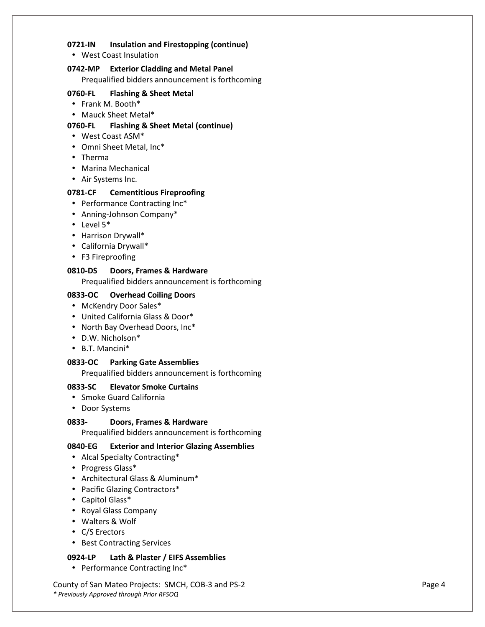#### **0721-IN Insulation and Firestopping (continue)**

• West Coast Insulation

# **0742-MP Exterior Cladding and Metal Panel**

Prequalified bidders announcement is forthcoming

# **0760-FL Flashing & Sheet Metal**

- Frank M. Booth\*
- Mauck Sheet Metal\*

#### **0760-FL Flashing & Sheet Metal (continue)**

- West Coast ASM\*
- Omni Sheet Metal, Inc\*
- Therma
- Marina Mechanical
- Air Systems Inc.

#### **0781-CF Cementitious Fireproofing**

- Performance Contracting Inc\*
- Anning-Johnson Company\*
- Level 5\*
- Harrison Drywall\*
- California Drywall\*
- F3 Fireproofing

#### **0810-DS Doors, Frames & Hardware**

Prequalified bidders announcement is forthcoming

#### **0833-OC Overhead Coiling Doors**

- McKendry Door Sales\*
- United California Glass & Door\*
- North Bay Overhead Doors, Inc\*
- D.W. Nicholson\*
- B.T. Mancini\*

#### **0833-OC Parking Gate Assemblies**

Prequalified bidders announcement is forthcoming

#### **0833-SC Elevator Smoke Curtains**

- Smoke Guard California
- Door Systems

# **0833- Doors, Frames & Hardware**

Prequalified bidders announcement is forthcoming

# **0840-EG Exterior and Interior Glazing Assemblies**

- Alcal Specialty Contracting\*
- Progress Glass\*
- Architectural Glass & Aluminum\*
- Pacific Glazing Contractors\*
- Capitol Glass\*
- Royal Glass Company
- Walters & Wolf
- C/S Erectors
- Best Contracting Services

# **0924-LP Lath & Plaster / EIFS Assemblies**

• Performance Contracting Inc\*

County of San Mateo Projects: SMCH, COB-3 and PS-2 Page 4 *\* Previously Approved through Prior RFSOQ*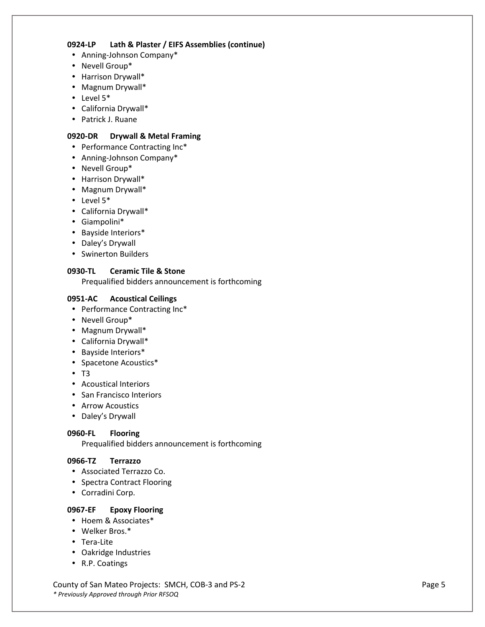#### **0924-LP Lath & Plaster / EIFS Assemblies (continue)**

- Anning-Johnson Company\*
- Nevell Group\*
- Harrison Drywall\*
- Magnum Drywall\*
- Level 5\*
- California Drywall\*
- Patrick J. Ruane

# **0920-DR Drywall & Metal Framing**

- Performance Contracting Inc\*
- Anning-Johnson Company\*
- Nevell Group\*
- Harrison Drywall\*
- Magnum Drywall\*
- Level 5\*
- California Drywall\*
- Giampolini\*
- Bayside Interiors\*
- Daley's Drywall
- Swinerton Builders

# **0930-TL Ceramic Tile & Stone**

Prequalified bidders announcement is forthcoming

# **0951-AC Acoustical Ceilings**

- Performance Contracting Inc\*
- Nevell Group\*
- Magnum Drywall\*
- California Drywall\*
- Bayside Interiors\*
- Spacetone Acoustics\*
- T3
- Acoustical Interiors
- San Francisco Interiors
- Arrow Acoustics
- Daley's Drywall

# **0960-FL Flooring**

Prequalified bidders announcement is forthcoming

# **0966-TZ Terrazzo**

- Associated Terrazzo Co.
- Spectra Contract Flooring
- Corradini Corp.

# **0967-EF Epoxy Flooring**

- Hoem & Associates\*
- Welker Bros.\*
- Tera-Lite
- Oakridge Industries
- R.P. Coatings

County of San Mateo Projects: SMCH, COB-3 and PS-2 Page 5 *\* Previously Approved through Prior RFSOQ*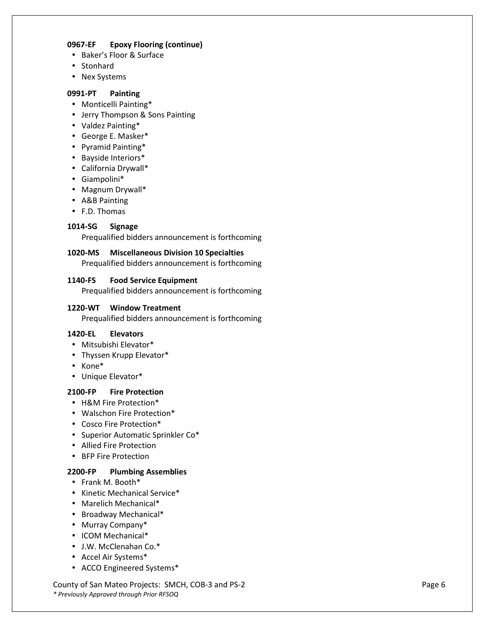#### **0967-EF Epoxy Flooring (continue)**

- Baker's Floor & Surface
- Stonhard
- Nex Systems

#### **0991-PT Painting**

- Monticelli Painting\*
- Jerry Thompson & Sons Painting
- Valdez Painting\*
- George E. Masker\*
- Pyramid Painting\*
- Bayside Interiors\*
- California Drywall\*
- Giampolini\*
- Magnum Drywall\*
- A&B Painting
- F.D. Thomas

# **1014-SG Signage**

Prequalified bidders announcement is forthcoming

#### **1020-MS Miscellaneous Division 10 Specialties**

Prequalified bidders announcement is forthcoming

#### **1140-FS Food Service Equipment**

Prequalified bidders announcement is forthcoming

#### **1220-WT Window Treatment**

Prequalified bidders announcement is forthcoming

#### **1420-EL Elevators**

- Mitsubishi Elevator\*
- Thyssen Krupp Elevator\*
- Kone\*
- Unique Elevator\*

# **2100-FP Fire Protection**

- H&M Fire Protection\*
- Walschon Fire Protection\*
- Cosco Fire Protection\*
- Superior Automatic Sprinkler Co\*
- Allied Fire Protection
- BFP Fire Protection

# **2200-FP Plumbing Assemblies**

- Frank M. Booth\*
- Kinetic Mechanical Service\*
- Marelich Mechanical\*
- Broadway Mechanical\*
- Murray Company\*
- ICOM Mechanical\*
- J.W. McClenahan Co.\*
- Accel Air Systems\*
- ACCO Engineered Systems\*

County of San Mateo Projects: SMCH, COB-3 and PS-2 Page 6 *\* Previously Approved through Prior RFSOQ*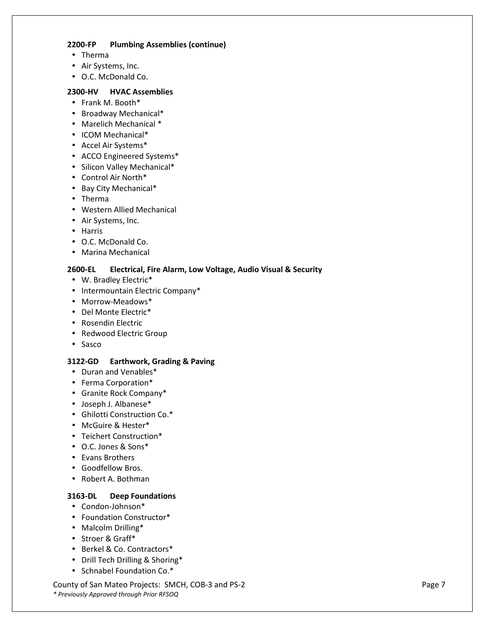#### **2200-FP Plumbing Assemblies (continue)**

- Therma
- Air Systems, Inc.
- O.C. McDonald Co.

#### **2300-HV HVAC Assemblies**

- Frank M. Booth\*
- Broadway Mechanical\*
- Marelich Mechanical \*
- ICOM Mechanical\*
- Accel Air Systems\*
- ACCO Engineered Systems\*
- Silicon Valley Mechanical\*
- Control Air North\*
- Bay City Mechanical\*
- Therma
- Western Allied Mechanical
- Air Systems, Inc.
- Harris
- O.C. McDonald Co.
- Marina Mechanical

# **2600-EL Electrical, Fire Alarm, Low Voltage, Audio Visual & Security**

- W. Bradley Electric\*
- Intermountain Electric Company\*
- Morrow-Meadows\*
- Del Monte Electric\*
- Rosendin Electric
- Redwood Electric Group
- Sasco

# **3122-GD Earthwork, Grading & Paving**

- Duran and Venables\*
- Ferma Corporation\*
- Granite Rock Company\*
- Joseph J. Albanese\*
- Ghilotti Construction Co.\*
- McGuire & Hester\*
- Teichert Construction\*
- O.C. Jones & Sons\*
- Evans Brothers
- Goodfellow Bros.
- Robert A. Bothman

# **3163-DL Deep Foundations**

- Condon-Johnson\*
- Foundation Constructor\*
- Malcolm Drilling\*
- Stroer & Graff\*
- Berkel & Co. Contractors\*
- Drill Tech Drilling & Shoring\*
- Schnabel Foundation Co.\*

County of San Mateo Projects: SMCH, COB-3 and PS-2 Page 7 Page 7 *\* Previously Approved through Prior RFSOQ*